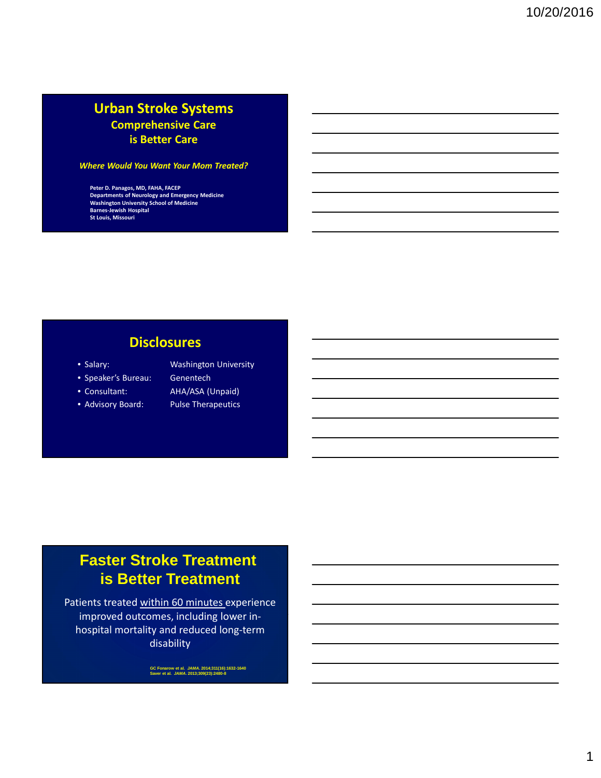## **Urban Stroke Systems Comprehensive Care is Better Care**

#### *Where Would You Want Your Mom Treated?*

**Peter D. Panagos, MD, FAHA, FACEP Departments of Neurology and Emergency Medicine Washington University School of Medicine Barnes-Jewish Hospital St Louis, Missouri**

## **Disclosures**

- 
- Speaker's Bureau: Genentech
- 
- Advisory Board: Pulse Therapeutics
- Salary: Washington University • Consultant: AHA/ASA (Unpaid)
	-

# **Faster Stroke Treatment is Better Treatment**

Patients treated within 60 minutes experience improved outcomes, including lower inhospital mortality and reduced long-term disability

**GC Fonarow et al. JAMA. 2014;311(16):1632-1640 Saver et al. JAMA. 2013;309(23):2480-8**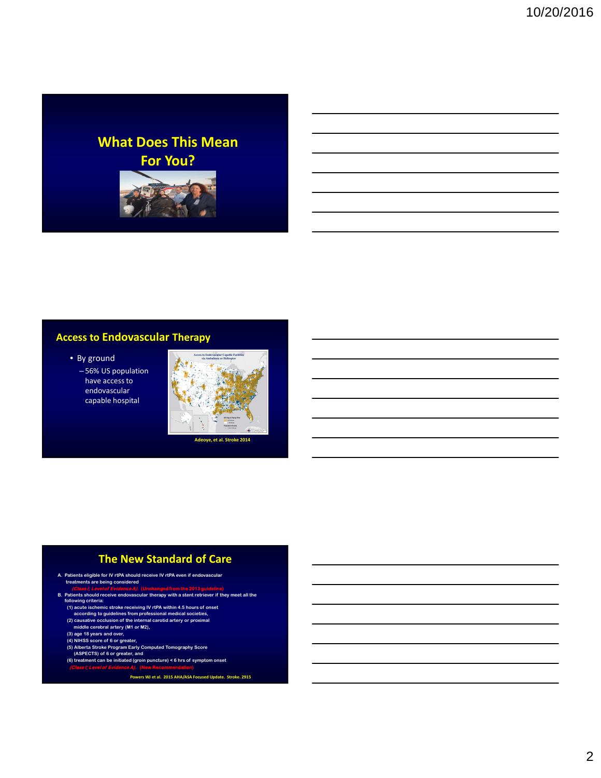## **What Does This Mean For You?**



### **Access to Endovascular Therapy**

- By ground
	- 56% US population have access to endovascular capable hospital



#### **The New Standard of Care**

- **A. Patients eligible for IV rtPA should receive IV rtPA even if endovascular treatments are being considered**<br> **Class Fi** evel of Evidence **A**
- Class it Level of Evidence A). (Unchanged from the 2013 guideline)<br>
B. Patients should receive endovascular therapy with a stent retriever if they meet all the<br>
following criteria:<br>
(1) acute ischemic stroke receiving IV
	-
	-
	-
	-
	-
	- **(5) Alberta Stroke Program Early Computed Tomography Score (ASPECTS) of 6 or greater, and (6) treatment can be initiated (groin puncture) < 6 hrs of symptom onset**
	- **(Class I; Level of Evidence A). (New Recommendation)**
		- **Powers WJ et al. 2015 AHA/ASA Focused Update. Stroke. 2915**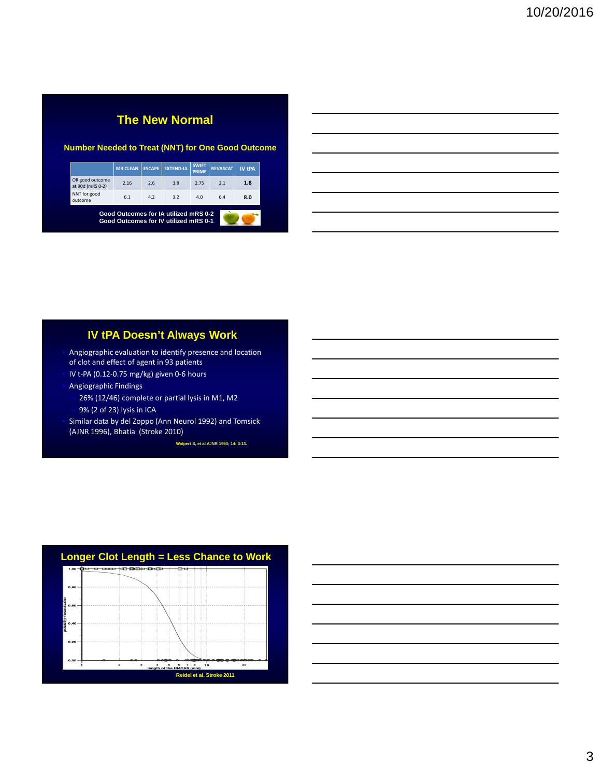## **The New Normal**

#### **Number Needed to Treat (NNT) for One Good Outcome**

|                                                                                | <b>MR CLEAN</b> | <b>ESCAPE</b> | <b>EXTEND-IA</b> | <b>SWIFT</b><br><b>PRIME</b> | <b>REVASCAT</b> | <b>IV tPA</b> |
|--------------------------------------------------------------------------------|-----------------|---------------|------------------|------------------------------|-----------------|---------------|
| OR good outcome<br>at 90d (mRS 0-2)                                            | 2.16            | 2.6           | 3.8              | 2.75                         | 2.1             | 1.8           |
| NNT for good<br>outcome                                                        | 6.1             | 4.2           | 3.2              | 4.0                          | 6.4             | 8.0           |
| Good Outcomes for IA utilized mRS 0-2<br>Good Outcomes for IV utilized mRS 0-1 |                 |               |                  |                              |                 |               |

#### **IV tPA Doesn't Always Work**

- Angiographic evaluation to identify presence and location of clot and effect of agent in 93 patients
- IV t-PA (0.12-0.75 mg/kg) given 0-6 hours
- Angiographic Findings
	- 26% (12/46) complete or partial lysis in M1, M2 – 9% (2 of 23) lysis in ICA
- Similar data by del Zoppo (Ann Neurol 1992) and Tomsick (AJNR 1996), Bhatia (Stroke 2010)

**Wolpert S, et al AJNR 1993; 14: 3-13.**



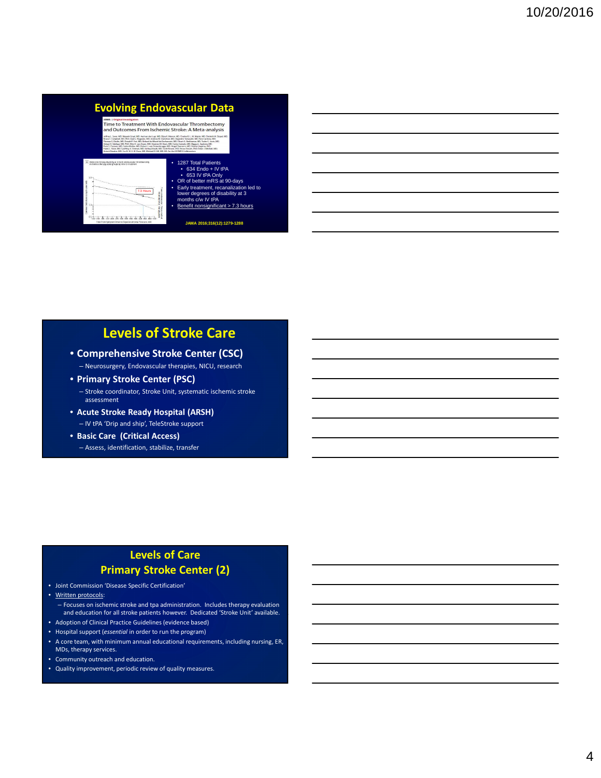# **Evolving Endovascular Data**



• 1287 Total Patients<br>• 633 IV tPA Only<br>• GR of better mRS at 90-days<br>• Carly treatment, recanalization led to<br>• Early treatment, recanalization led to<br>lower degrees of disability at 3<br>months c/w IV tPA

## **Levels of Stroke Care**

- **Comprehensive Stroke Center (CSC)**
	- Neurosurgery, Endovascular therapies, NICU, research
- **Primary Stroke Center (PSC)** – Stroke coordinator, Stroke Unit, systematic ischemic stroke
- assessment • **Acute Stroke Ready Hospital (ARSH)**
	- IV tPA 'Drip and ship', TeleStroke support
- **Basic Care (Critical Access)** – Assess, identification, stabilize, transfer

#### **Levels of Care Primary Stroke Center (2)**

- Joint Commission 'Disease Specific Certification'
- Written protocols:
	- Focuses on ischemic stroke and tpa administration. Includes therapy evaluation and education for all stroke patients however. Dedicated 'Stroke Unit' available.
- Adoption of Clinical Practice Guidelines (evidence based)
- Hospital support (*essential* in order to run the program)
- A core team, with minimum annual educational requirements, including nursing, ER, MDs, therapy services.
- Community outreach and education.
- Quality improvement, periodic review of quality measures.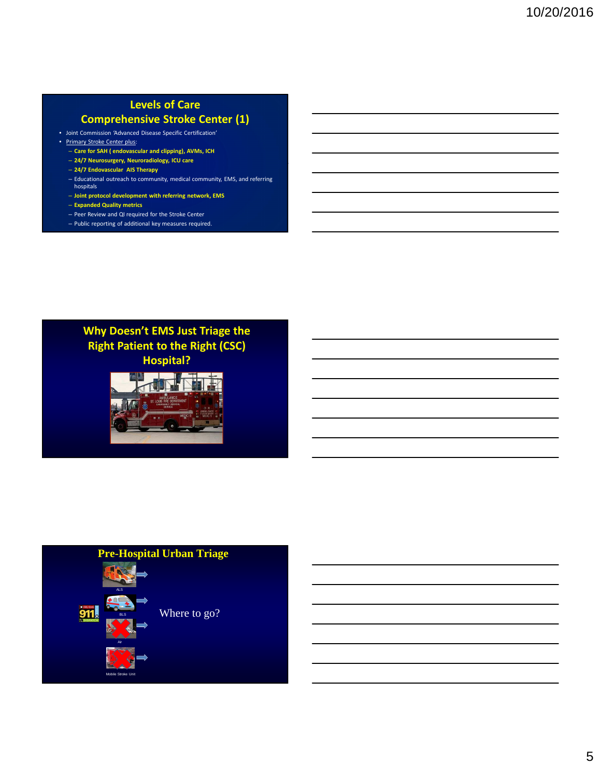## **Levels of Care**

### **Comprehensive Stroke Center (1)**

- Joint Commission 'Advanced Disease Specific Certification'
- Primary Stroke Center plus:
	- **Care for SAH ( endovascular and clipping), AVMs, ICH**
	- **24/7 Neurosurgery, Neuroradiology, ICU care**
	- **24/7 Endovascular AIS Therapy**
	- Educational outreach to community, medical community, EMS, and referring hospitals
	- **Joint protocol development with referring network, EMS**
	- **Expanded Quality metrics**
	- Peer Review and QI required for the Stroke Center
	- Public reporting of additional key measures required.

### **Why Doesn't EMS Just Triage the Right Patient to the Right (CSC) Hospital?**